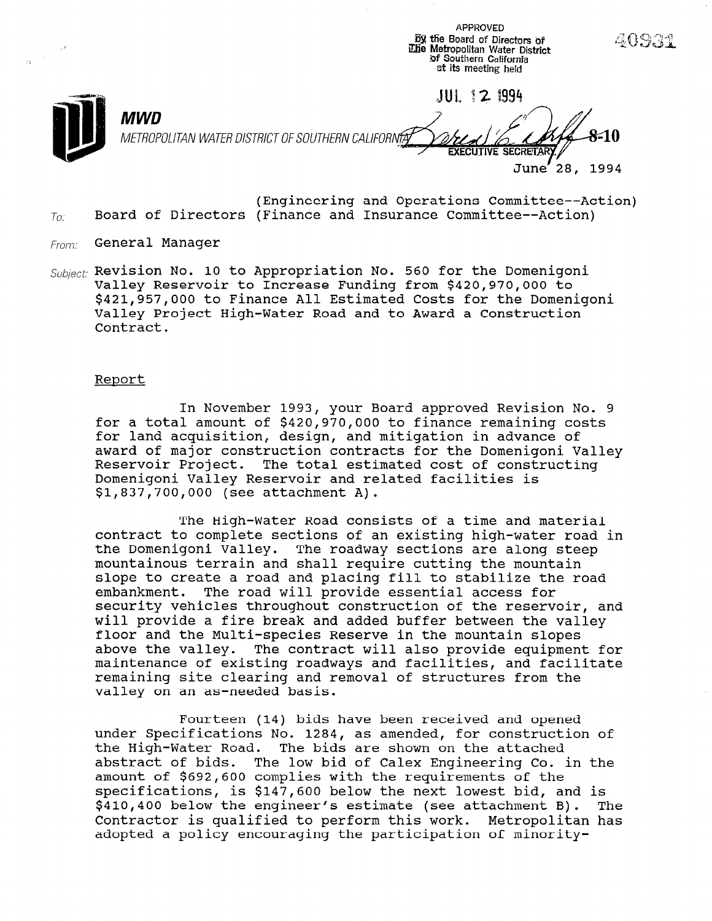SX ttie Board of Directors oi iLlie Metropolitan Water District  $\sim$ of Southern California at its meeting held **JUL 12 1994** MWD METROPOLITAN WATER DISTRICT OF SOUTHERN CALIFORNfA**Y EXECUTIVE SECRET** June' 28, 1994

**APPROVED** 

- (Engineering and Operations Committee--Action)  $T_{0i}$  Board of Directors (Finance and Insurance Committee--Action)
- From: General Manager
- $Subicct$ : Revision No. 10 to Appropriation No. 560 for the Domenigoni Valley Reservoir to Increase Funding from \$420,970,000 to \$421,957,000 to Finance All Estimated Costs for the Domenigoni Valley Project High-Water Road and to Award a Construction Contract.

#### Report

In November 1993, your Board approved Revision No. 9 for a total amount of \$420,970,000 to finance remaining costs for land acquisition, design, and mitigation in advance of award of major construction contracts for the Domenigoni Valley Reservoir Project. The total estimated cost of constructing Domenigoni Valley Reservoir and related facilities is \$1,837,700,000 (see attachment A).

The High-Water Road consists of a time and material contract to complete sections of an existing high-water road in the Domenigoni Valley. The roadway sections are along steep mountainous terrain and shall require cutting the mountain slope to create a road and placing fill to stabilize the road embankment. The road will provide essential access for security vehicles throughout construction of the reservoir, and will provide a fire break and added buffer between the valley floor and the Multi-species Reserve in the mountain slopes above the valley. The contract will also provide equipment for above the valley. The contract will also provide equipment maintenance of existing foauways and facilities, and facil remaining site clearing and removal of structures from the valley on an as-needed basis.

Fourteen (14) bids have been received and opened rourcent (14) bids have been received and opened<br>Out teen (14) bids have been received and opened under specifications no. 1204, as amended, for constructions. che high-water Road. The bids are shown on the attached abstract of bius. The fow bid of talex hag needing to.<br>-wannt of \$602,600 complies with the requirements of the specifications, is \$147,600 below the next lowest bid, and is specifications, is \$147,600 below the next lowest bid, and is<br>\$410,400 below the engineer's estimate (see attachment B). The  $$410,400$  below the engineer's estimate (see attachment B). Contractor is qualified to perform this work. Metropolitan has<br>adopted a policy encouraging the participation of minority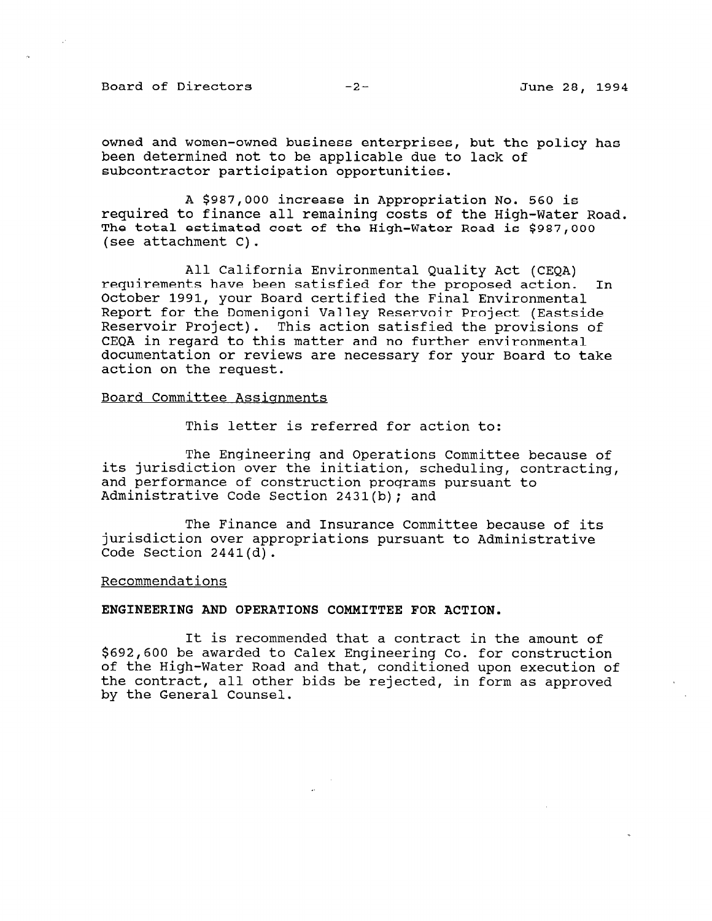Board of Directors -2- June 28, 1994

owned and women-owned business enterprises, but the policy has been determined not to be applicable due to lack of subcontractor participation opportunities.

A \$987,000 increase in Appropriation No. 560 is required to finance all remaining costs of the High-Water Road. The total estimated cost of the High-Water Road is \$987,000 (see attachment C).

All California Environmental Quality Act (CEQA) requirements have been satisfied for the proposed action. In October 1991, your Board certified the Final Environmental Report for the Domenigoni Valley Reservoir Project (Eastside Reservoir Project). This action satisfied the provisions of CEQA in regard to this matter and no further environmental documentation or reviews are necessary for your Board to take action on the request.

#### Board Committee Assiqnments

This letter is referred for action to:

The Engineering and Operations Committee because of its jurisdiction over the initiation, scheduling, contracting, and performance of construction programs pursuant to Administrative Code Section 2431(b); and

The Finance and Insurance Committee because of its jurisdiction over appropriations pursuant to Administrative Code Section 2441(d).

Recommendations

## ENGINEERING AND OPERATIONS COMMITTEE FOR ACTION.

It is recommended that a contract in the amount of \$692,600 be awarded to Calex Engineering Co. for construction of the High-Water Road and that, conditioned upon execution of of the nigh-water koad and that, conditioned upon execution the Contract, all Other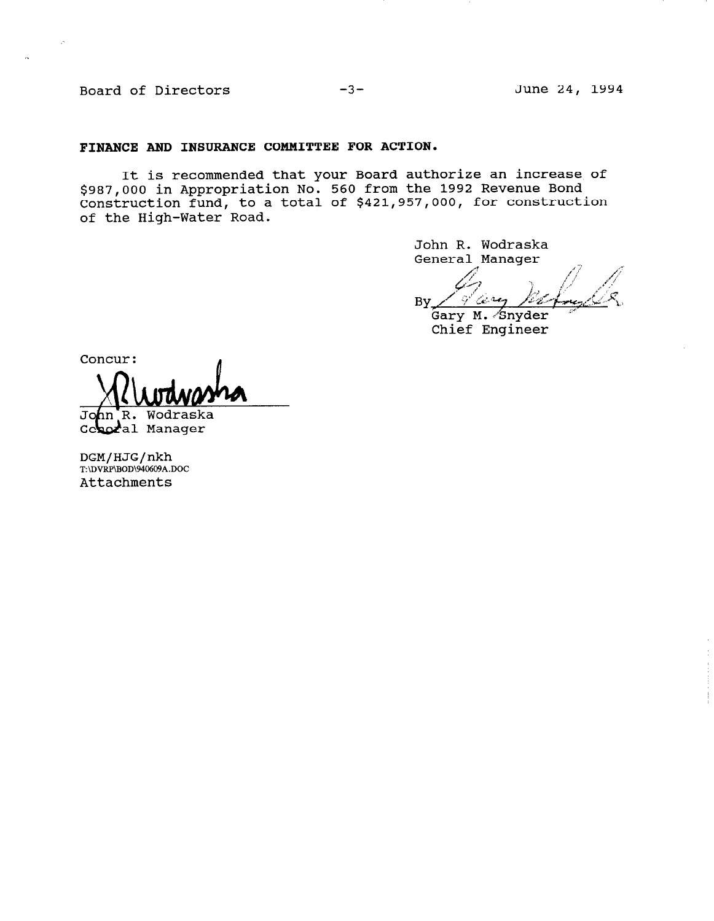Board of Directors -3- June 24, 1994

#### FINANCE AND INSURANCE COMMITTEE FOR ACTION.

It is recommended that your Board authorize an increase of \$987,000 in Appropriation No. 560 from the 1992 Revenue Bond Construction fund, to a total of \$421,957,000, for construction of the High-Water Road.

> John R. Wodraska General Manager

any By

Gary M. Snyder Chief Engineer

Concur:

John R. Wodraska Geberal Manager

DGM/HJG/nkh T:\DVRP\BOD\940609A.DOC Attachments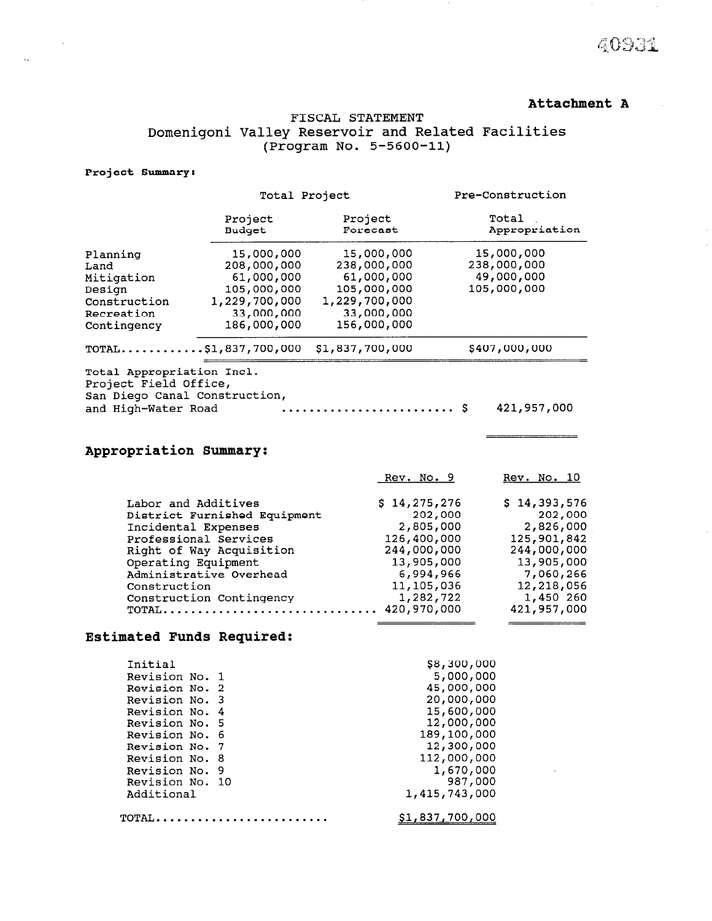# Attachment A

40931

 $101, 750, 70$ 

\_\_\_\_\_\_\_\_\_\_\_\_\_\_\_\_\_

# FISCAL STATEMENT Domenigoni Valley Reservoir and Related Facilities (Program No. 5-5600-11)

#### Project Summary:

 $\sim$   $\sim$ 

 $\bar{\alpha}$ 

|                                                                                                                                      | Total Project                                                                                                                                                                                                                                         |                                                                                                               | Pre-Construction                                                                                                                    |  |  |
|--------------------------------------------------------------------------------------------------------------------------------------|-------------------------------------------------------------------------------------------------------------------------------------------------------------------------------------------------------------------------------------------------------|---------------------------------------------------------------------------------------------------------------|-------------------------------------------------------------------------------------------------------------------------------------|--|--|
|                                                                                                                                      | Project<br>Budget                                                                                                                                                                                                                                     | Project<br>Forecast                                                                                           | Total<br>Appropriation                                                                                                              |  |  |
| Planning<br>Land<br>Mitigation<br>Design<br>Construction<br>Recreation<br>Contingency                                                | 15,000,000<br>208,000,000<br>61,000,000<br>105,000,000<br>1,229,700,000<br>33,000,000<br>186,000,000                                                                                                                                                  | 15,000,000<br>238,000,000<br>61,000,000<br>105,000,000<br>1,229,700,000<br>33,000,000<br>156,000,000          | 15,000,000<br>238,000,000<br>49,000,000<br>105,000,000                                                                              |  |  |
|                                                                                                                                      | $TOTAL$ \$1,837,700,000                                                                                                                                                                                                                               | \$1,837,700,000                                                                                               | \$407,000,000                                                                                                                       |  |  |
| Total Appropriation Incl.<br>Project Field Office,<br>San Diego Canal Construction,<br>and High-Water Road<br>Appropriation Summary: |                                                                                                                                                                                                                                                       |                                                                                                               | 421,957,000                                                                                                                         |  |  |
|                                                                                                                                      |                                                                                                                                                                                                                                                       | <u>Rev. No. 9</u>                                                                                             | <u>Rev. No. 10</u>                                                                                                                  |  |  |
| Construction                                                                                                                         | Labor and Additives<br>District Furnished Equipment<br>Incidental Expenses<br>Professional Services<br>Right of Way Acquisition<br>Operating Equipment<br>Administrative Overhead<br>والموالا والمستواط والمستور والمالي والمستور والمستحدث والمستحدث | \$14,275,276<br>2,805,000<br>126,400,000<br>244,000,000<br>13,905,000<br>6,994,966<br>11,105,036<br>1.000.700 | \$14,393,576<br>202,000<br>202,000<br>2,826,000<br>125,901,842<br>244,000,000<br>13,905,000<br>7,060,266<br>12,218,056<br>1.150.000 |  |  |

 $17.2927$ 

## Estimated Funds Required:

CONSTRUCTON CONCINGUNG,<br>MOMAT

| Initial         | \$8,300,000     |
|-----------------|-----------------|
| Revision No. 1  | 5,000,000       |
| Revision No. 2  | 45,000,000      |
| Revision No. 3  | 20,000,000      |
| Revision No. 4  | 15,600,000      |
| Revision No. 5  | 12,000,000      |
| Revision No. 6  | 189,100,000     |
| Revision No. 7  | 12,300,000      |
| Revision No. 8  | 112,000,000     |
| Revision No. 9  | 1,670,000       |
| Revision No. 10 | 987,000         |
| Additional      | 1,415,743,000   |
| TOTAL.          | \$1,837,700,000 |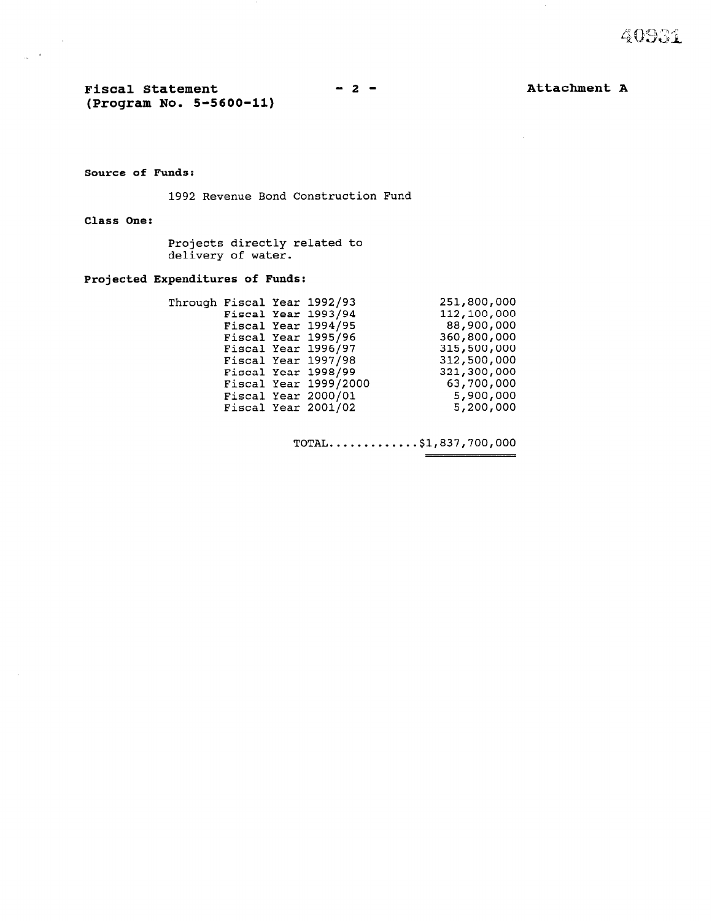$\triangle$   $\Omega$ 

Fiscal Statement (Program No. S-5600-11)  $-2-$ 

Attachment A

 $\sim$ 

#### Source of Funds:

1992 Revenue Bond Construction Fund

Class One:

 $\sim 10$ 

 $\mathbf{a}$  $\mathbb{R}^2$ 

> Projects directly related to delivery of water.

#### Projected Expenditures of Funds:

|  | Through Fiscal Year 1992/93 | 251,800,000 |
|--|-----------------------------|-------------|
|  | Fiscal Year 1993/94         | 112,100,000 |
|  | Fiscal Year 1994/95         | 88,900,000  |
|  | Fiscal Year 1995/96         | 360,800,000 |
|  | Fiscal Year 1996/97         | 315,500,000 |
|  | Fiscal Year 1997/98         | 312,500,000 |
|  | Fiscal Year 1998/99         | 321,300,000 |
|  | Fiscal Year 1999/2000       | 63,700,000  |
|  | Fiscal Year 2000/01         | 5,900,000   |
|  | Fiscal Year 2001/02         | 5,200,000   |
|  |                             |             |

TOTAL.............\$1,837,700,000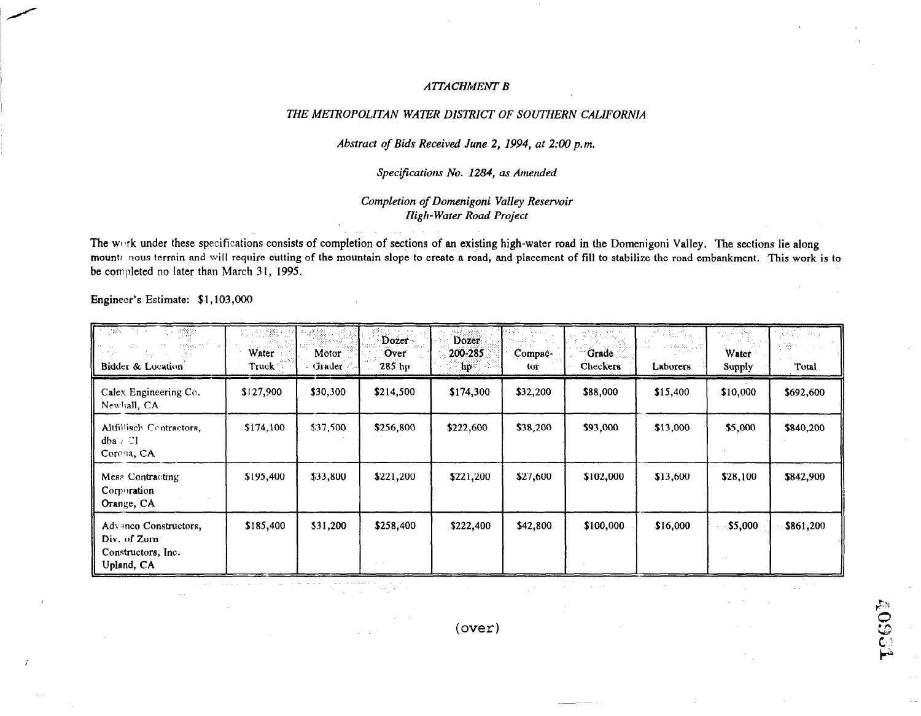## **ATTACHMENT B**

## THE METROPOLITAN WATER DISTRICT OF SOUTHERN CALIFORNIA

## Abstract of Bids Received June 2, 1994, at 2:00 p.m.

# Specifications No. 1284, as Amended

## Completion of Domenigoni Valley Reservoir **High-Water Road Project**

The work under these specifications consists of completion of sections of an existing high-water road in the Domenigoni Valley. The sections lie along mounts nous terrain and will require cutting of the mountain slope to create a road, and placement of fill to stabilize the road embankment. This work is to be completed no later than March 31, 1995.

Engineer's Estimate: \$1,103,000

| राज्य सम<br>$\sim 25\%$<br>we also as $\mathcal{I}(\mathcal{I}(\mathcal{I}))$<br>Bidder & Location | 地離<br>$\sigma_{\rm NL}^{\rm 2D}$ , and lead of $\ell$<br>Water ·<br>Truck | Motor<br>Grader | Dozer<br>Over<br>$285$ hp     | Dozer.<br>200-285<br>$\mathbf{hp}$ | Compac-<br>tor | $\mathcal{G}(\mathcal{G})\subset\mathcal{G}_{\mathcal{G}}$<br>Grade<br>Checkers | 不能的。<br>$\sim$ 000 km $^{-1}$ s $^{-1}$<br>Laborers | 化光器 网络<br>Water<br>Supply | Antonio de Sal<br>신광기<br>Total |
|----------------------------------------------------------------------------------------------------|---------------------------------------------------------------------------|-----------------|-------------------------------|------------------------------------|----------------|---------------------------------------------------------------------------------|-----------------------------------------------------|---------------------------|--------------------------------|
| Calex Engineering Co.<br>Newhall, CA                                                               | \$127,900                                                                 | \$30,300        | \$214,500                     | \$174,300                          | \$32,200       | \$88,000                                                                        | \$15,400                                            | \$10,000                  | \$692,600                      |
| Altfillisch Centractors,<br>$dba \in \mathbb{C}$<br>Corona, CA                                     | \$174,100                                                                 | \$37,500        | \$256,800                     | \$222,600                          | \$38,200       | \$93,000                                                                        | \$13,000                                            | \$5,000                   | \$840,200                      |
| Mesa Contracting<br>Corporation<br>Orange, CA                                                      | \$195,400                                                                 | \$33,800        | \$221,200                     | \$221,200                          | \$27,600       | \$102,000                                                                       | \$13,600                                            | \$28,100                  | \$842,900                      |
| Advance Constructors,<br>Div. of Zurn<br>Constructors, Inc.<br>Upland, CA                          | \$185,400                                                                 | \$31,200        | \$258,400<br>$\sim$ 100 $\pm$ | \$222,400                          | \$42,800       | \$100,000                                                                       | \$16,000                                            | \$5,000                   | \$861,200                      |

 $(over)$ 

**40931**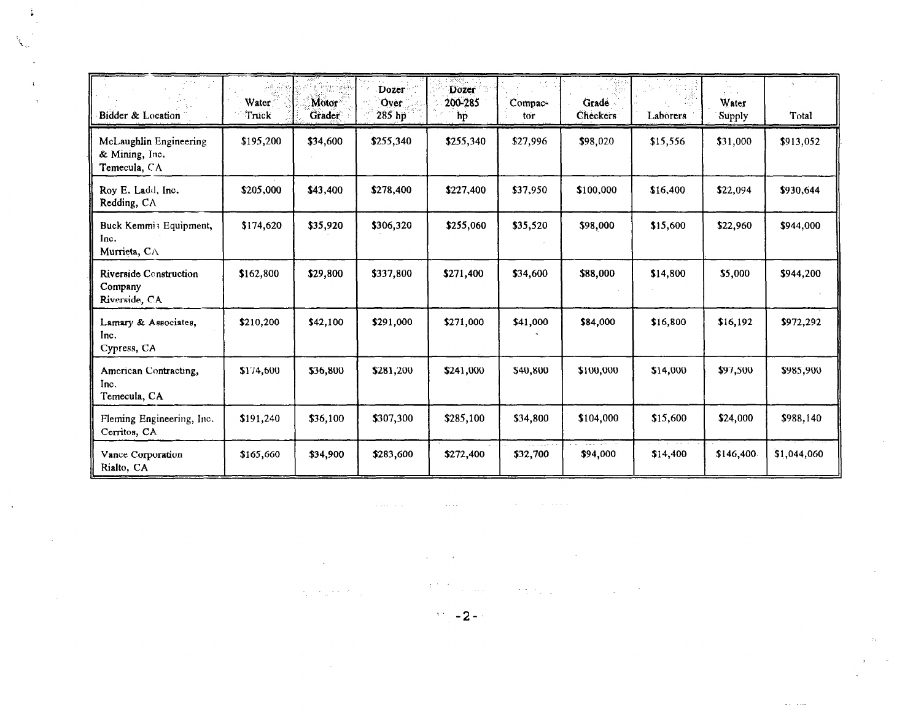| Bidder & Location                                        | Water<br>Truck | Motor<br>Grader | Dozer<br>Over<br>285 hp | Dozer<br>200-285<br>hp | Compac-<br>tor | Grade<br><b>Checkers</b> | $\frac{1}{2} \eta_{\rm c}$ .<br>Laborers | $\mathbf{r}=\mathbf{r}+\mathbf{r}$<br>Water<br>Supply | Total       |
|----------------------------------------------------------|----------------|-----------------|-------------------------|------------------------|----------------|--------------------------|------------------------------------------|-------------------------------------------------------|-------------|
| McLaughlin Engineering<br>& Mining, Inc.<br>Temecula, CA | \$195,200      | \$34,600        | \$255,340               | \$255,340              | \$27,996       | \$98,020                 | \$15,556                                 | \$31,000                                              | \$913,052   |
| Roy E. Ladd, Inc.<br>Redding, CA                         | \$205,000      | \$43,400        | \$278,400               | \$227,400              | \$37,950       | \$100,000                | \$16,400                                 | \$22,094                                              | \$930,644   |
| Buck Kemmis Equipment,<br>Inc.<br>Murrieta, CA           | \$174,620      | \$35,920        | \$306,320               | \$255,060              | \$35,520       | \$98,000                 | \$15,600                                 | \$22,960                                              | \$944,000   |
| Riverside Construction<br>Company<br>Riverside, CA       | \$162,800      | \$29,800        | \$337,800               | \$271,400              | \$34,600       | \$88,000                 | \$14,800                                 | \$5,000                                               | \$944,200   |
| Lamary & Associates,<br>Inc.<br>Cypress, CA              | \$210,200      | \$42,100        | \$291,000               | \$271,000              | \$41,000       | \$84,000                 | \$16,800                                 | \$16,192                                              | \$972,292   |
| American Contracting,<br>Inc.<br>Temecula, CA            | \$174,600      | \$36,800        | \$281,200               | \$241,000              | \$40,800       | \$100,000                | \$14,000                                 | \$97,500                                              | \$985,900   |
| Fleming Engineering, Inc.<br>Cerritos, CA                | \$191,240      | \$36,100        | \$307,300               | \$285,100              | \$34,800       | \$104,000                | \$15,600                                 | \$24,000                                              | \$988,140   |
| Vance Corporation<br>Rialto, CA                          | \$165,660      | \$34,900        | \$283,600               | \$272,400              | \$32,700       | \$94,000                 | \$14,400                                 | \$146,400                                             | \$1,044,060 |

. The matrix  $\mathcal{L}_{\mathcal{A}}$  is a simple polynomial of the space of the space  $\mathcal{L}_{\mathcal{A}}$ 

 $\sim$ 

 $\sim$ 

 $\label{eq:2.1} \frac{1}{\sqrt{2}}\int_{\mathbb{R}^3}\frac{1}{\sqrt{2}}\left(\frac{1}{\sqrt{2}}\right)^2\frac{1}{\sqrt{2}}\left(\frac{1}{\sqrt{2}}\right)^2\frac{1}{\sqrt{2}}\left(\frac{1}{\sqrt{2}}\right)^2\frac{1}{\sqrt{2}}\left(\frac{1}{\sqrt{2}}\right)^2\frac{1}{\sqrt{2}}\left(\frac{1}{\sqrt{2}}\right)^2\frac{1}{\sqrt{2}}\frac{1}{\sqrt{2}}\frac{1}{\sqrt{2}}\frac{1}{\sqrt{2}}\frac{1}{\sqrt{2}}\frac{1}{\sqrt{2}}$  $\mathcal{A}^{\mathrm{c}}$  and  $\mathcal{A}^{\mathrm{c}}$  and  $\mathcal{A}^{\mathrm{c}}$  $\mathcal{L}^{\text{max}}_{\text{max}}$  and  $\mathcal{L}^{\text{max}}_{\text{max}}$ 

 $\mathcal{O}(\mathcal{O}(2^d))$  is small as a set of the  $\mathcal{O}(\mathcal{O}(2^d))$  . The  $\mathcal{O}(\mathcal{O}(2^d))$  $\label{eq:2} \frac{1}{\sqrt{2}}\left(\frac{1}{2}\sum_{i=1}^{n} \frac{1}{2} \sum_{j=1}^{n} \frac{1}{2} \sum_{j=1}^{n} \frac{1}{2} \sum_{j=1}^{n} \frac{1}{2} \sum_{j=1}^{n} \frac{1}{2} \sum_{j=1}^{n} \frac{1}{2} \sum_{j=1}^{n} \frac{1}{2} \sum_{j=1}^{n} \frac{1}{2} \sum_{j=1}^{n} \frac{1}{2} \sum_{j=1}^{n} \frac{1}{2} \sum_{j=1}^{n} \frac{1}{2} \sum_{j=1}^{$ 

> $\sim 200$  $\sim$

 $\mathcal{L}^{\pm}$ 

 $\omega_{\rm{max}}$  and

 $\mathcal{L}^{\text{max}}_{\text{max}} = 2 + \frac{1}{2}$ 

 $\mathcal{L}^{\text{max}}_{\text{max}}$  ,  $\mathcal{L}^{\text{max}}_{\text{max}}$